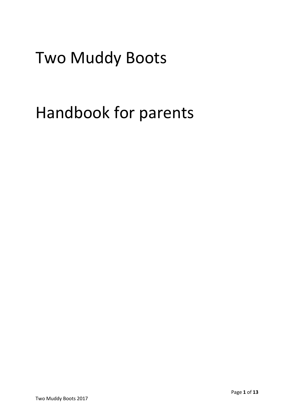# Two Muddy Boots

# Handbook for parents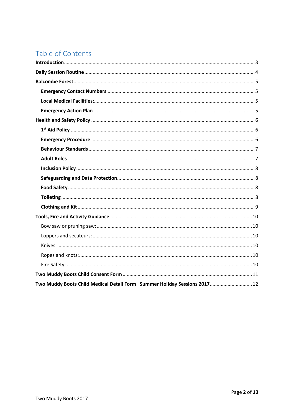# Table of Contents

| Two Muddy Boots Child Medical Detail Form Summer Holiday Sessions 2017 12 |  |
|---------------------------------------------------------------------------|--|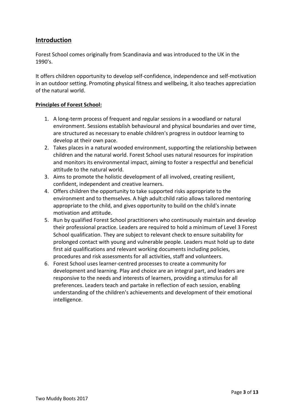# <span id="page-2-0"></span>**Introduction**

Forest School comes originally from Scandinavia and was introduced to the UK in the 1990's.

It offers children opportunity to develop self-confidence, independence and self-motivation in an outdoor setting. Promoting physical fitness and wellbeing, it also teaches appreciation of the natural world.

# **Principles of Forest School:**

- 1. A long-term process of frequent and regular sessions in a woodland or natural environment. Sessions establish behavioural and physical boundaries and over time, are structured as necessary to enable children's progress in outdoor learning to develop at their own pace.
- 2. Takes places in a natural wooded environment, supporting the relationship between children and the natural world. Forest School uses natural resources for inspiration and monitors its environmental impact, aiming to foster a respectful and beneficial attitude to the natural world.
- 3. Aims to promote the holistic development of all involved, creating resilient, confident, independent and creative learners.
- 4. Offers children the opportunity to take supported risks appropriate to the environment and to themselves. A high adult:child ratio allows tailored mentoring appropriate to the child, and gives opportunity to build on the child's innate motivation and attitude.
- 5. Run by qualified Forest School practitioners who continuously maintain and develop their professional practice. Leaders are required to hold a minimum of Level 3 Forest School qualification. They are subject to relevant check to ensure suitability for prolonged contact with young and vulnerable people. Leaders must hold up to date first aid qualifications and relevant working documents including policies, procedures and risk assessments for all activities, staff and volunteers.
- 6. Forest School uses learner-centred processes to create a community for development and learning. Play and choice are an integral part, and leaders are responsive to the needs and interests of learners, providing a stimulus for all preferences. Leaders teach and partake in reflection of each session, enabling understanding of the children's achievements and development of their emotional intelligence.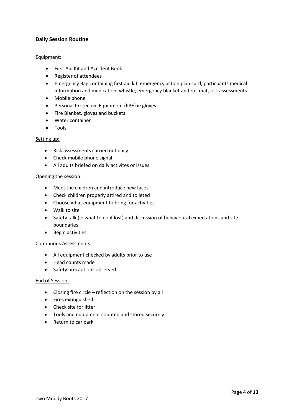# <span id="page-3-0"></span>**Daily Session Routine**

#### Equipment:

- First Aid Kit and Accident Book
- Register of attendees
- Emergency Bag containing first aid kit, emergency action plan card, particpants medical information and medication, whistle, emergency blanket and roll mat, risk assessments
- Mobile phone
- Personal Protective Equipment (PPE) ie gloves
- Fire Blanket, gloves and buckets
- Water container
- Tools

#### Setting up:

- Risk assessments carried out daily
- Check mobile phone signal
- All adults briefed on daily activites or issues

#### Opening the session:

- Meet the children and introduce new faces
- Check children properly attired and toileted
- Choose what equipment to bring for activities
- Walk to site
- Safety talk (ie what to do if lost) and discussion of behavioural expectations and site boundaries
- Begin activities

#### Continuous Assessments:

- All equipment checked by adults prior to use
- Head counts made
- Safety precautions observed

#### End of Session:

- Closing fire circle reflection on the session by all
- Fires extinguished
- Check site for litter
- Tools and equipment counted and stored securely
- Return to car park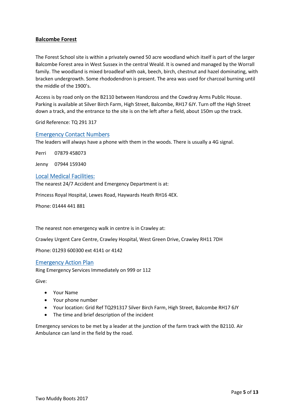# <span id="page-4-0"></span>**Balcombe Forest**

The Forest School site is within a privately owned 50 acre woodland which itself is part of the larger Balcombe Forest area in West Sussex in the central Weald. It is owned and managed by the Worrall family. The woodland is mixed broadleaf with oak, beech, birch, chestnut and hazel dominating, with bracken undergrowth. Some rhododendron is present. The area was used for charcoal burning until the middle of the 1900's.

Access is by road only on the B2110 between Handcross and the Cowdray Arms Public House. Parking is available at Silver Birch Farm, High Street, Balcombe, RH17 6JY. Turn off the High Street down a track, and the entrance to the site is on the left after a field, about 150m up the track.

Grid Reference: TQ 291 317

#### <span id="page-4-1"></span>Emergency Contact Numbers

The leaders will always have a phone with them in the woods. There is usually a 4G signal.

Perri 07879 458073

Jenny 07944 159340

#### <span id="page-4-2"></span>Local Medical Facilities:

The nearest 24/7 Accident and Emergency Department is at:

Princess Royal Hospital, Lewes Road, Haywards Heath RH16 4EX.

Phone: 01444 441 881

The nearest non emergency walk in centre is in Crawley at:

Crawley Urgent Care Centre, Crawley Hospital, West Green Drive, Crawley RH11 7DH

Phone: 01293 600300 ext 4141 or 4142

#### <span id="page-4-3"></span>Emergency Action Plan

Ring Emergency Services Immediately on 999 or 112

Give:

- Your Name
- Your phone number
- Your location: Grid Ref TQ291317 Silver Birch Farm, High Street, Balcombe RH17 6JY
- The time and brief description of the incident

Emergency services to be met by a leader at the junction of the farm track with the B2110. Air Ambulance can land in the field by the road.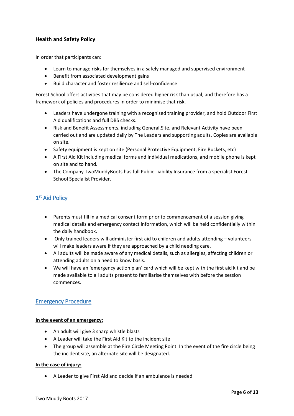# <span id="page-5-0"></span>**Health and Safety Policy**

In order that participants can:

- Learn to manage risks for themselves in a safely managed and supervised environment
- Benefit from associated development gains
- Build character and foster resilience and self-confidence

Forest School offers activities that may be considered higher risk than usual, and therefore has a framework of policies and procedures in order to minimise that risk.

- Leaders have undergone training with a recognised training provider, and hold Outdoor First Aid qualifications and full DBS checks.
- Risk and Benefit Assessments, including General,Site, and Relevant Activity have been carried out and are updated daily by The Leaders and supporting adults. Copies are available on site.
- Safety equipment is kept on site (Personal Protective Equipment, Fire Buckets, etc)
- A First Aid Kit including medical forms and individual medications, and mobile phone is kept on site and to hand.
- The Company TwoMuddyBoots has full Public Liability Insurance from a specialist Forest School Specialist Provider.

# <span id="page-5-1"></span>1<sup>st</sup> Aid Policy

- Parents must fill in a medical consent form prior to commencement of a session giving medical details and emergency contact information, which will be held confidentially within the daily handbook.
- Only trained leaders will administer first aid to children and adults attending volunteers will make leaders aware if they are approached by a child needing care.
- All adults will be made aware of any medical details, such as allergies, affecting children or attending adults on a need to know basis.
- We will have an 'emergency action plan' card which will be kept with the first aid kit and be made available to all adults present to familiarise themselves with before the session commences.

# <span id="page-5-2"></span>Emergency Procedure

#### **In the event of an emergency:**

- An adult will give 3 sharp whistle blasts
- A Leader will take the First Aid Kit to the incident site
- The group will assemble at the Fire Circle Meeting Point. In the event of the fire circle being the incident site, an alternate site will be designated.

# **In the case of injury:**

• A Leader to give First Aid and decide if an ambulance is needed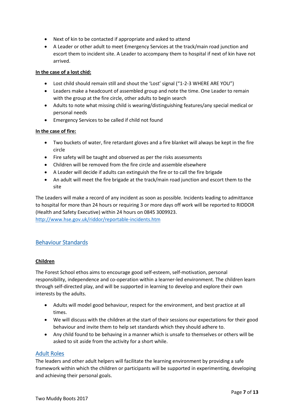- Next of kin to be contacted if appropriate and asked to attend
- A Leader or other adult to meet Emergency Services at the track/main road junction and escort them to incident site. A Leader to accompany them to hospital if next of kin have not arrived.

#### **In the case of a lost chid:**

- Lost child should remain still and shout the 'Lost' signal ("1-2-3 WHERE ARE YOU")
- Leaders make a headcount of assembled group and note the time. One Leader to remain with the group at the fire circle, other adults to begin search
- Adults to note what missing child is wearing/distinguishing features/any special medical or personal needs
- Emergency Services to be called if child not found

#### **In the case of fire:**

- Two buckets of water, fire retardant gloves and a fire blanket will always be kept in the fire circle
- Fire safety will be taught and observed as per the risks assessments
- Children will be removed from the fire circle and assemble elsewhere
- A Leader will decide if adults can extinguish the fire or to call the fire brigade
- An adult will meet the fire brigade at the track/main road junction and escort them to the site

The Leaders will make a record of any incident as soon as possible. Incidents leading to admittance to hospital for more than 24 hours or requiring 3 or more days off work will be reported to RIDDOR (Health and Safety Executive) within 24 hours on 0845 3009923.

<http://www.hse.gov.uk/riddor/reportable-incidents.htm>

# <span id="page-6-0"></span>Behaviour Standards

#### **Children**

The Forest School ethos aims to encourage good self-esteem, self-motivation, personal responsibility, independence and co-operation within a learner-led environment. The children learn through self-directed play, and will be supported in learning to develop and explore their own interests by the adults.

- Adults will model good behaviour, respect for the environment, and best practice at all times.
- We will discuss with the children at the start of their sessions our expectations for their good behaviour and invite them to help set standards which they should adhere to.
- Any child found to be behaving in a manner which is unsafe to themselves or others will be asked to sit aside from the activity for a short while.

# <span id="page-6-1"></span>Adult Roles

The leaders and other adult helpers will facilitate the learning environment by providing a safe framework within which the children or participants will be supported in experimenting, developing and achieving their personal goals.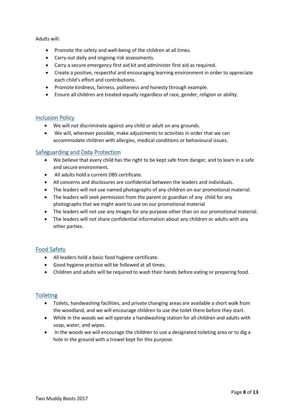Adults will:

- Promote the safety and well-being of the children at all times.
- Carry out daily and ongoing risk assessments.
- Carry a secure emergency first aid kit and administer first aid as required.
- Create a positive, respectful and encouraging learning environment in order to appreciate each child's effort and contributions.
- Promote kindness, fairness, politeness and honesty through example.
- Ensure all children are treated equally regardless of race, gender, religion or ability.

# <span id="page-7-0"></span>Inclusion Policy

- We will not discriminate against any child or adult on any grounds.
- We will, wherever possible, make adjustments to activities in order that we can accommodate children with allergies, medical conditions or behavioural issues.

# <span id="page-7-1"></span>Safeguarding and Data Protection

- We believe that every child has the right to be kept safe from danger, and to learn in a safe and secure environment.
- All adults hold a current DBS certificate.
- All concerns and disclosures are confidential between the leaders and individuals.
- The leaders will not use named photographs of any children on our promotional material.
- The leaders will seek permission from the parent or guardian of any child for any photographs that we might want to use on our promotional material
- The leaders will not use any images for any purpose other than on our promotional material.
- The leaders will not share confidential information about any children or adults with any other parties.

# <span id="page-7-2"></span>Food Safety

- All leaders hold a basic food hygiene certificate.
- Good hygiene practice will be followed at all times.
- Children and adults will be required to wash their hands before eating or preparing food.

# <span id="page-7-3"></span>**Toileting**

- Toilets, handwashing facilities, and private changing areas are available a short walk from the woodland, and we will encourage children to use the toilet there before they start.
- While in the woods we will operate a handwashing station for all children and adults with soap, water, and wipes.
- In the woods we will encourage the children to use a designated toileting area or to dig a hole in the ground with a trowel kept for this purpose.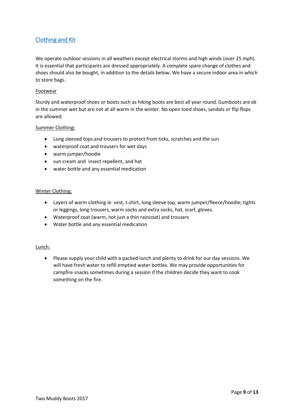# <span id="page-8-0"></span>Clothing and Kit

We operate outdoor sessions in all weathers except electrical storms and high winds (over 25 mph). It is essential that participants are dressed appropriately. A complete spare change of clothes and shoes should also be bought, in addition to the details below. We have a secure indoor area in which to store bags.

#### Footwear

Sturdy and waterproof shoes or boots such as hiking boots are best all year round. Gumboots are ok in the summer wet but are not at all warm in the winter. No open toed shoes, sandals or flip flops are allowed.

#### Summer Clothing:

- Long sleeved tops and trousers to protect from ticks, scratches and the sun
- waterproof coat and trousers for wet days
- warm jumper/hoodie
- sun cream and insect repellent, and hat
- water bottle and any essential medication

#### Winter Clothing:

- Layers of warm clothing ie. vest, t-shirt, long sleeve top, warm jumper/fleece/hoodie; tights or leggings, long trousers, warm socks and extra socks, hat, scarf, gloves.
- Waterproof coat (warm, not just a thin raincoat) and trousers
- Water bottle and any essential medication

#### Lunch:

• Please supply your child with a packed lunch and plenty to drink for our day sessions. We will have fresh water to refill emptied water bottles. We may provide opportunities for campfire snacks sometimes during a session if the children decide they want to cook something on the fire.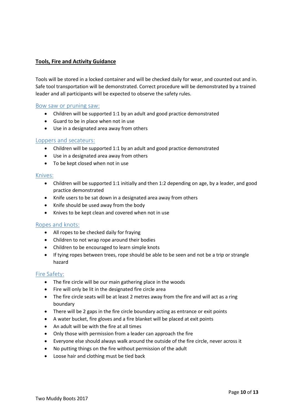# <span id="page-9-0"></span>**Tools, Fire and Activity Guidance**

Tools will be stored in a locked container and will be checked daily for wear, and counted out and in. Safe tool transportation will be demonstrated. Correct procedure will be demonstrated by a trained leader and all participants will be expected to observe the safety rules.

#### <span id="page-9-1"></span>Bow saw or pruning saw:

- Children will be supported 1:1 by an adult and good practice demonstrated
- Guard to be in place when not in use
- Use in a designated area away from others

#### <span id="page-9-2"></span>Loppers and secateurs:

- Children will be supported 1:1 by an adult and good practice demonstrated
- Use in a designated area away from others
- To be kept closed when not in use

#### <span id="page-9-3"></span>Knives:

- Children will be supported 1:1 initially and then 1:2 depending on age, by a leader, and good practice demonstrated
- Knife users to be sat down in a designated area away from others
- Knife should be used away from the body
- Knives to be kept clean and covered when not in use

# <span id="page-9-4"></span>Ropes and knots:

- All ropes to be checked daily for fraying
- Children to not wrap rope around their bodies
- Children to be encouraged to learn simple knots
- If tying ropes between trees, rope should be able to be seen and not be a trip or strangle hazard

# <span id="page-9-5"></span>Fire Safety:

- The fire circle will be our main gathering place in the woods
- Fire will only be lit in the designated fire circle area
- The fire circle seats will be at least 2 metres away from the fire and will act as a ring boundary
- There will be 2 gaps in the fire circle boundary acting as entrance or exit points
- A water bucket, fire gloves and a fire blanket will be placed at exit points
- An adult will be with the fire at all times
- Only those with permission from a leader can approach the fire
- Everyone else should always walk around the outside of the fire circle, never across it
- No putting things on the fire without permission of the adult
- Loose hair and clothing must be tied back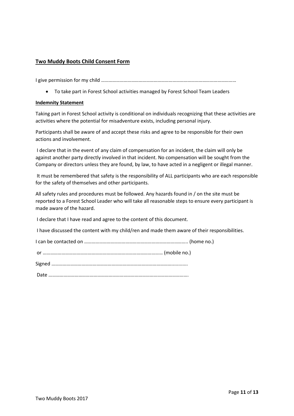# <span id="page-10-0"></span>**Two Muddy Boots Child Consent Form**

I give permission for my child ………………………………………………………………………………………………

• To take part in Forest School activities managed by Forest School Team Leaders

#### **Indemnity Statement**

Taking part in Forest School activity is conditional on individuals recognizing that these activities are activities where the potential for misadventure exists, including personal injury.

Participants shall be aware of and accept these risks and agree to be responsible for their own actions and involvement.

I declare that in the event of any claim of compensation for an incident, the claim will only be against another party directly involved in that incident. No compensation will be sought from the Company or directors unless they are found, by law, to have acted in a negligent or illegal manner.

It must be remembered that safety is the responsibility of ALL participants who are each responsible for the safety of themselves and other participants.

All safety rules and procedures must be followed. Any hazards found in / on the site must be reported to a Forest School Leader who will take all reasonable steps to ensure every participant is made aware of the hazard.

I declare that I have read and agree to the content of this document.

I have discussed the content with my child/ren and made them aware of their responsibilities.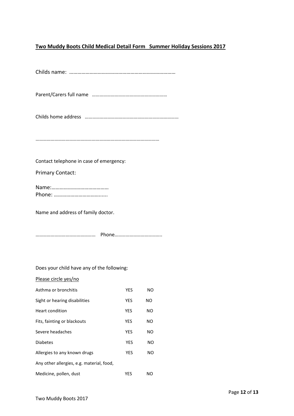# <span id="page-11-0"></span>**Two Muddy Boots Child Medical Detail Form Summer Holiday Sessions 2017**

Childs name: ……………………………………………………………………

Parent/Carers full name ……………………………………………………

Childs home address …………………………………………………………………

………………………………………………………………………………………

Contact telephone in case of emergency:

Primary Contact:

Name:…………………………………… Phone: ……………………………......

Name and address of family doctor.

Does your child have any of the following:

| Please circle yes/no                      |            |     |
|-------------------------------------------|------------|-----|
| Asthma or bronchitis                      | YES        | NO  |
| Sight or hearing disabilities             | YES        | NO. |
| Heart condition                           | YES        | NΟ  |
| Fits, fainting or blackouts               | <b>YES</b> | NΟ  |
| Severe headaches                          | <b>YES</b> | NO. |
| <b>Diabetes</b>                           | <b>YES</b> | NO. |
| Allergies to any known drugs              | YES        | NΟ  |
| Any other allergies, e.g. material, food, |            |     |
| Medicine, pollen, dust                    | YES        | NO  |